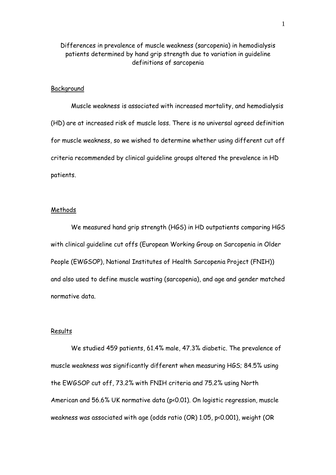# Differences in prevalence of muscle weakness (sarcopenia) in hemodialysis patients determined by hand grip strength due to variation in guideline definitions of sarcopenia

#### **Backaround**

Muscle weakness is associated with increased mortality, and hemodialysis (HD) are at increased risk of muscle loss. There is no universal agreed definition for muscle weakness, so we wished to determine whether using different cut off criteria recommended by clinical guideline groups altered the prevalence in HD patients.

### **Methods**

We measured hand grip strength (HGS) in HD outpatients comparing HGS with clinical guideline cut offs (European Working Group on Sarcopenia in Older People (EWGSOP), National Institutes of Health Sarcopenia Project (FNIH)) and also used to define muscle wasting (sarcopenia), and age and gender matched normative data.

#### Results

We studied 459 patients, 61.4% male, 47.3% diabetic. The prevalence of muscle weakness was significantly different when measuring HGS; 84.5% using the EWGSOP cut off, 73.2% with FNIH criteria and 75.2% using North American and 56.6% UK normative data (p<0.01). On logistic regression, muscle weakness was associated with age (odds ratio (OR) 1.05, p<0.001), weight (OR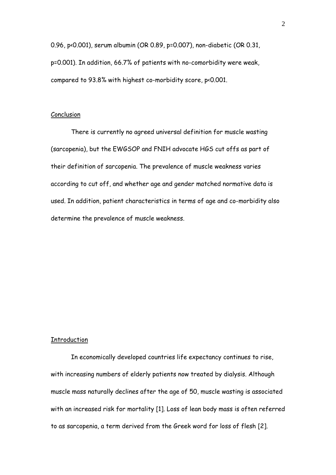0.96, p<0.001), serum albumin (OR 0.89, p=0.007), non-diabetic (OR 0.31, p=0.001). In addition, 66.7% of patients with no-comorbidity were weak, compared to 93.8% with highest co-morbidity score, p<0.001.

## Conclusion

There is currently no agreed universal definition for muscle wasting (sarcopenia), but the EWGSOP and FNIH advocate HGS cut offs as part of their definition of sarcopenia. The prevalence of muscle weakness varies according to cut off, and whether age and gender matched normative data is used. In addition, patient characteristics in terms of age and co-morbidity also determine the prevalence of muscle weakness.

# Introduction

In economically developed countries life expectancy continues to rise, with increasing numbers of elderly patients now treated by dialysis. Although muscle mass naturally declines after the age of 50, muscle wasting is associated with an increased risk for mortality [1]. Loss of lean body mass is often referred to as sarcopenia, a term derived from the Greek word for loss of flesh [2].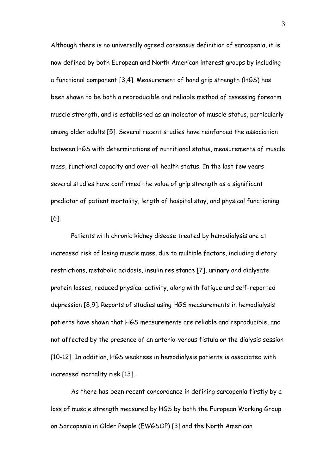Although there is no universally agreed consensus definition of sarcopenia, it is now defined by both European and North American interest groups by including a functional component [3,4]. Measurement of hand grip strength (HGS) has been shown to be both a reproducible and reliable method of assessing forearm muscle strength, and is established as an indicator of muscle status, particularly among older adults [5]. Several recent studies have reinforced the association between HGS with determinations of nutritional status, measurements of muscle mass, functional capacity and over-all health status. In the last few years several studies have confirmed the value of grip strength as a significant predictor of patient mortality, length of hospital stay, and physical functioning [6].

Patients with chronic kidney disease treated by hemodialysis are at increased risk of losing muscle mass, due to multiple factors, including dietary restrictions, metabolic acidosis, insulin resistance [7], urinary and dialysate protein losses, reduced physical activity, along with fatigue and self-reported depression [8,9]. Reports of studies using HGS measurements in hemodialysis patients have shown that HGS measurements are reliable and reproducible, and not affected by the presence of an arterio-venous fistula or the dialysis session [10-12]. In addition, HGS weakness in hemodialysis patients is associated with increased mortality risk [13].

As there has been recent concordance in defining sarcopenia firstly by a loss of muscle strength measured by HGS by both the European Working Group on Sarcopenia in Older People (EWGSOP) [3] and the North American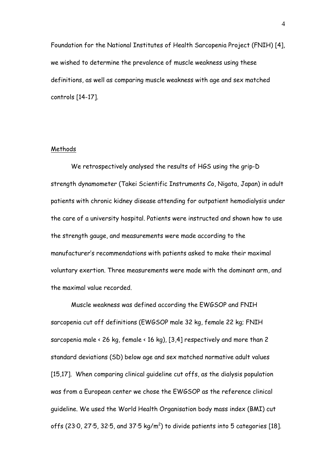Foundation for the National Institutes of Health Sarcopenia Project (FNIH) [4], we wished to determine the prevalence of muscle weakness using these definitions, as well as comparing muscle weakness with age and sex matched controls [14-17].

# Methods

We retrospectively analysed the results of HGS using the grip-D strength dynamometer (Takei Scientific Instruments Co, Nigata, Japan) in adult patients with chronic kidney disease attending for outpatient hemodialysis under the care of a university hospital. Patients were instructed and shown how to use the strength gauge, and measurements were made according to the manufacturer's recommendations with patients asked to make their maximal voluntary exertion. Three measurements were made with the dominant arm, and the maximal value recorded.

Muscle weakness was defined according the EWGSOP and FNIH sarcopenia cut off definitions (EWGSOP male 32 kg, female 22 kg; FNIH sarcopenia male < 26 kg, female < 16 kg), [3,4] respectively and more than 2 standard deviations (SD) below age and sex matched normative adult values [15,17]. When comparing clinical guideline cut offs, as the dialysis population was from a European center we chose the EWGSOP as the reference clinical guideline. We used the World Health Organisation body mass index (BMI) cut offs (23 $\cdot$ 0, 27 $\cdot$ 5, 32 $\cdot$ 5, and 37 $\cdot$ 5 kg/m<sup>2</sup>) to divide patients into 5 categories [18].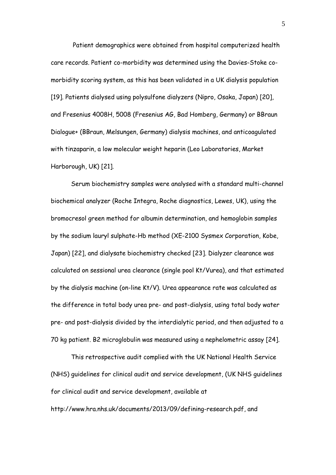Patient demographics were obtained from hospital computerized health care records. Patient co-morbidity was determined using the Davies-Stoke comorbidity scoring system, as this has been validated in a UK dialysis population [19]. Patients dialysed using polysulfone dialyzers (Nipro, Osaka, Japan) [20], and Fresenius 4008H, 5008 (Fresenius AG, Bad Homberg, Germany) or BBraun Dialogue+ (BBraun, Melsungen, Germany) dialysis machines, and anticoagulated with tinzaparin, a low molecular weight heparin (Leo Laboratories, Market Harborough, UK) [21].

Serum biochemistry samples were analysed with a standard multi-channel biochemical analyzer (Roche Integra, Roche diagnostics, Lewes, UK), using the bromocresol green method for albumin determination, and hemoglobin samples by the sodium lauryl sulphate-Hb method (XE-2100 Sysmex Corporation, Kobe, Japan) [22], and dialysate biochemistry checked [23]. Dialyzer clearance was calculated on sessional urea clearance (single pool Kt/Vurea), and that estimated by the dialysis machine (on-line Kt/V). Urea appearance rate was calculated as the difference in total body urea pre- and post-dialysis, using total body water pre- and post-dialysis divided by the interdialytic period, and then adjusted to a 70 kg patient. Β2 microglobulin was measured using a nephelometric assay [24].

This retrospective audit complied with the UK National Health Service (NHS) guidelines for clinical audit and service development, (UK NHS guidelines for clinical audit and service development, available at http://www.hra.nhs.uk/documents/2013/09/defining-research.pdf, and

5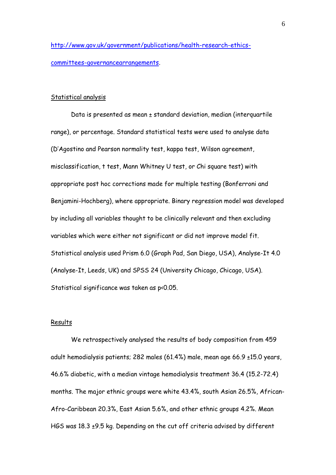[http://www.gov.uk/government/publications/health-research-ethics](http://www.gov.uk/government/publications/health-research-ethics-committees-governancearrangements)[committees-governancearrangements.](http://www.gov.uk/government/publications/health-research-ethics-committees-governancearrangements)

#### Statistical analysis

Data is presented as mean ± standard deviation, median (interquartile range), or percentage. Standard statistical tests were used to analyse data (D'Agostino and Pearson normality test, kappa test, Wilson agreement, misclassification, t test, Mann Whitney U test, or Chi square test) with appropriate post hoc corrections made for multiple testing (Bonferroni and Benjamini-Hochberg), where appropriate. Binary regression model was developed by including all variables thought to be clinically relevant and then excluding variables which were either not significant or did not improve model fit. Statistical analysis used Prism 6.0 (Graph Pad, San Diego, USA), Analyse-It 4.0 (Analyse-It, Leeds, UK) and SPSS 24 (University Chicago, Chicago, USA). Statistical significance was taken as p<0.05.

### Results

We retrospectively analysed the results of body composition from 459 adult hemodialysis patients; 282 males (61.4%) male, mean age 66.9 ±15.0 years, 46.6% diabetic, with a median vintage hemodialysis treatment 36.4 (15.2-72.4) months. The major ethnic groups were white 43.4%, south Asian 26.5%, African-Afro-Caribbean 20.3%, East Asian 5.6%, and other ethnic groups 4.2%. Mean HGS was 18.3 ±9.5 kg. Depending on the cut off criteria advised by different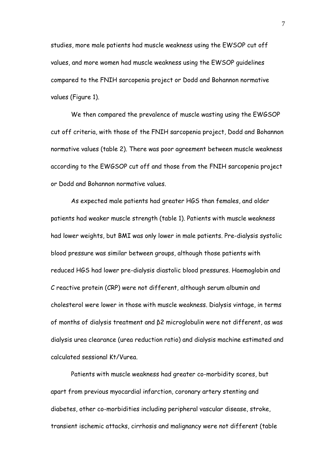studies, more male patients had muscle weakness using the EWSOP cut off values, and more women had muscle weakness using the EWSOP guidelines compared to the FNIH sarcopenia project or Dodd and Bohannon normative values (Figure 1).

We then compared the prevalence of muscle wasting using the EWGSOP cut off criteria, with those of the FNIH sarcopenia project, Dodd and Bohannon normative values (table 2). There was poor agreement between muscle weakness according to the EWGSOP cut off and those from the FNIH sarcopenia project or Dodd and Bohannon normative values.

As expected male patients had greater HGS than females, and older patients had weaker muscle strength (table 1). Patients with muscle weakness had lower weights, but BMI was only lower in male patients. Pre-dialysis systolic blood pressure was similar between groups, although those patients with reduced HGS had lower pre-dialysis diastolic blood pressures. Haemoglobin and C reactive protein (CRP) were not different, although serum albumin and cholesterol were lower in those with muscle weakness. Dialysis vintage, in terms of months of dialysis treatment and β2 microglobulin were not different, as was dialysis urea clearance (urea reduction ratio) and dialysis machine estimated and calculated sessional Kt/Vurea.

Patients with muscle weakness had greater co-morbidity scores, but apart from previous myocardial infarction, coronary artery stenting and diabetes, other co-morbidities including peripheral vascular disease, stroke, transient ischemic attacks, cirrhosis and malignancy were not different (table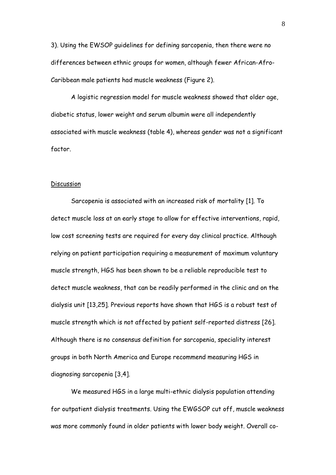3). Using the EWSOP guidelines for defining sarcopenia, then there were no differences between ethnic groups for women, although fewer African-Afro-Caribbean male patients had muscle weakness (Figure 2).

A logistic regression model for muscle weakness showed that older age, diabetic status, lower weight and serum albumin were all independently associated with muscle weakness (table 4), whereas gender was not a significant factor.

### Discussion

Sarcopenia is associated with an increased risk of mortality [1]. To detect muscle loss at an early stage to allow for effective interventions, rapid, low cost screening tests are required for every day clinical practice. Although relying on patient participation requiring a measurement of maximum voluntary muscle strength, HGS has been shown to be a reliable reproducible test to detect muscle weakness, that can be readily performed in the clinic and on the dialysis unit [13,25]. Previous reports have shown that HGS is a robust test of muscle strength which is not affected by patient self-reported distress [26]. Although there is no consensus definition for sarcopenia, speciality interest groups in both North America and Europe recommend measuring HGS in diagnosing sarcopenia [3,4].

We measured HGS in a large multi-ethnic dialysis population attending for outpatient dialysis treatments. Using the EWGSOP cut off, muscle weakness was more commonly found in older patients with lower body weight. Overall co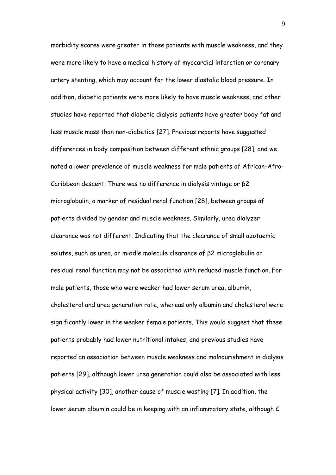morbidity scores were greater in those patients with muscle weakness, and they were more likely to have a medical history of myocardial infarction or coronary artery stenting, which may account for the lower diastolic blood pressure. In addition, diabetic patients were more likely to have muscle weakness, and other studies have reported that diabetic dialysis patients have greater body fat and less muscle mass than non-diabetics [27]. Previous reports have suggested differences in body composition between different ethnic groups [28], and we noted a lower prevalence of muscle weakness for male patients of African-Afro-Caribbean descent. There was no difference in dialysis vintage or β2 microglobulin, a marker of residual renal function [28], between groups of patients divided by gender and muscle weakness. Similarly, urea dialyzer clearance was not different. Indicating that the clearance of small azotaemic solutes, such as urea, or middle molecule clearance of β2 microglobulin or residual renal function may not be associated with reduced muscle function. For male patients, those who were weaker had lower serum urea, albumin, cholesterol and urea generation rate, whereas only albumin and cholesterol were significantly lower in the weaker female patients. This would suggest that these patients probably had lower nutritional intakes, and previous studies have reported an association between muscle weakness and malnourishment in dialysis patients [29], although lower urea generation could also be associated with less physical activity [30], another cause of muscle wasting [7]. In addition, the lower serum albumin could be in keeping with an inflammatory state, although C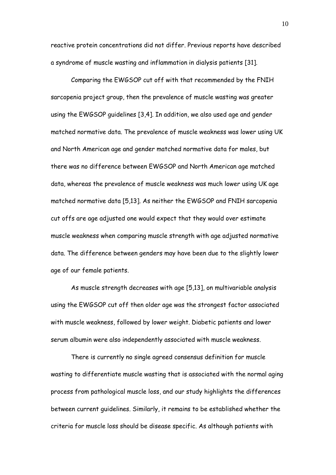reactive protein concentrations did not differ. Previous reports have described a syndrome of muscle wasting and inflammation in dialysis patients [31].

Comparing the EWGSOP cut off with that recommended by the FNIH sarcopenia project group, then the prevalence of muscle wasting was greater using the EWGSOP guidelines [3,4]. In addition, we also used age and gender matched normative data. The prevalence of muscle weakness was lower using UK and North American age and gender matched normative data for males, but there was no difference between EWGSOP and North American age matched data, whereas the prevalence of muscle weakness was much lower using UK age matched normative data [5,13]. As neither the EWGSOP and FNIH sarcopenia cut offs are age adjusted one would expect that they would over estimate muscle weakness when comparing muscle strength with age adjusted normative data. The difference between genders may have been due to the slightly lower age of our female patients.

As muscle strength decreases with age [5,13], on multivariable analysis using the EWGSOP cut off then older age was the strongest factor associated with muscle weakness, followed by lower weight. Diabetic patients and lower serum albumin were also independently associated with muscle weakness.

There is currently no single agreed consensus definition for muscle wasting to differentiate muscle wasting that is associated with the normal aging process from pathological muscle loss, and our study highlights the differences between current guidelines. Similarly, it remains to be established whether the criteria for muscle loss should be disease specific. As although patients with

10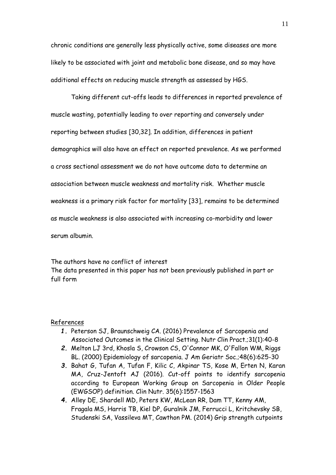chronic conditions are generally less physically active, some diseases are more likely to be associated with joint and metabolic bone disease, and so may have additional effects on reducing muscle strength as assessed by HGS.

Taking different cut-offs leads to differences in reported prevalence of muscle wasting, potentially leading to over reporting and conversely under reporting between studies [30,32]. In addition, differences in patient demographics will also have an effect on reported prevalence. As we performed a cross sectional assessment we do not have outcome data to determine an association between muscle weakness and mortality risk. Whether muscle weakness is a primary risk factor for mortality [33], remains to be determined as muscle weakness is also associated with increasing co-morbidity and lower serum albumin.

The authors have no conflict of interest The data presented in this paper has not been previously published in part or full form

### References

- *1.* Peterson SJ, Braunschweig CA. (2016) Prevalence of Sarcopenia and Associated Outcomes in the Clinical Setting. Nutr Clin Pract.;31(1):40-8
- *2.* Melton LJ 3rd, Khosla S, Crowson CS, O'Connor MK, O'Fallon WM, Riggs BL. (2000) Epidemiology of sarcopenia. J Am Geriatr Soc.;48(6):625-30
- *3.* Bahat G, Tufan A, Tufan F, Kilic C, Akpinar TS, Kose M, Erten N, Karan MA, Cruz-Jentoft AJ (2016). Cut-off points to identify sarcopenia according to European Working Group on Sarcopenia in Older People (EWGSOP) definition. Clin Nutr. 35(6):1557-1563
- *4.* Alley DE, Shardell MD, Peters KW, McLean RR, Dam TT, Kenny AM, Fragala MS, Harris TB, Kiel DP, Guralnik JM, Ferrucci L, Kritchevsky SB, Studenski SA, Vassileva MT, Cawthon PM. (2014) Grip strength cutpoints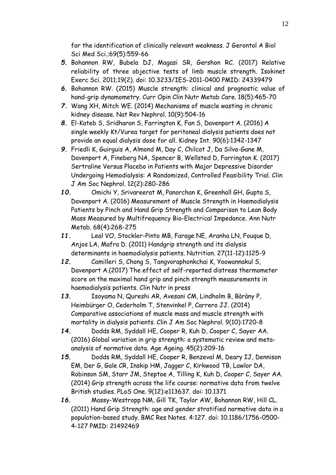for the identification of clinically relevant weakness. J Gerontol A Biol Sci Med Sci.;69(5):559-66

- *5.* Bohannon RW, Bubela DJ, Magasi SR, Gershon RC. (2017) Relative reliability of three objective tests of limb muscle strength. Isokinet Exerc Sci. 2011;19(2). doi: 10.3233/IES-2011-0400 PMID: 24339479
- *6.* Bohannon RW. (2015) Muscle strength: clinical and prognostic value of hand-grip dynamometry. Curr Opin Clin Nutr Metab Care. 18(5):465-70
- *7.* Wang XH, Mitch WE. (2014) Mechanisms of muscle wasting in chronic kidney disease. Nat Rev Nephrol. 10(9):504-16
- *8.* El-Kateb S, Sridharan S, Farrington K, Fan S, Davenport A. (2016) A single weekly Kt/Vurea target for peritoneal dialysis patients does not provide an equal dialysis dose for all. Kidney Int. 90(6):1342-1347
- *9.* Friedli K, Guirguis A, Almond M, Day C, Chilcot J, Da Silva-Gane M, Davenport A, Fineberg NA, Spencer B, Wellsted D, Farrington K. (2017) Sertraline Versus Placebo in Patients with Major Depressive Disorder Undergoing Hemodialysis: A Randomized, Controlled Feasibility Trial. Clin J Am Soc Nephrol. 12(2):280-286
- *10.* Omichi Y, Srivareerat M, Panorchan K, Greenhall GH, Gupta S, Davenport A. (2016) Measurement of Muscle Strength in Haemodialysis Patients by Pinch and Hand Grip Strength and Comparison to Lean Body Mass Measured by Multifrequency Bio-Electrical Impedance. Ann Nutr Metab. 68(4):268-275
- *11.* Leal VO, Stockler-Pinto MB, Farage NE, Aranha LN, Fouque D, Anjos LA, Mafra D. (2011) Handgrip strength and its dialysis determinants in haemodialysis patients. Nutrition. 27(11-12):1125-9
- *12.* Camilleri S, Chong S, Tangvoraphonkchai K, Yoowannakul S, Davenport A.(2017) The effect of self-reported distress thermometer score on the maximal hand grip and pinch strength measurements in haemodialysis patients. Clin Nutr in press
- *13.* Isoyama N, Qureshi AR, Avesani CM, Lindholm B, Bàràny P, Heimbürger O, Cederholm T, Stenvinkel P, Carrero JJ. (2014) Comparative associations of muscle mass and muscle strength with mortality in dialysis patients. Clin J Am Soc Nephrol. 9(10):1720-8
- *14.* Dodds RM, Syddall HE, Cooper R, Kuh D, Cooper C, Sayer AA. (2016) Global variation in grip strength: a systematic review and metaanalysis of normative data. Age Ageing. 45(2):209-16
- *15.* Dodds RM, Syddall HE, Cooper R, Benzeval M, Deary IJ, Dennison EM, Der G, Gale CR, Inskip HM, Jagger C, Kirkwood TB, Lawlor DA, Robinson SM, Starr JM, Steptoe A, Tilling K, Kuh D, Cooper C, Sayer AA. (2014) Grip strength across the life course: normative data from twelve British studies. PLoS One. 9(12):e113637. doi: 10.1371
- *16.* Massy-Westropp NM, Gill TK, Taylor AW, Bohannon RW, Hill CL. (2011) Hand Grip Strength: age and gender stratified normative data in a population-based study. BMC Res Notes. 4:127. doi: 10.1186/1756-0500- 4-127 PMID: 21492469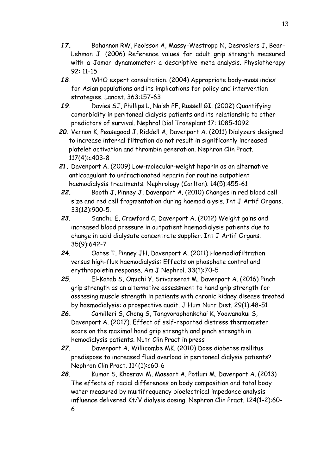- *17.* Bohannon RW, Peolsson A, Massy-Westropp N, Desrosiers J, Bear-Lehman J. (2006) Reference values for adult grip strength measured with a Jamar dynamometer: a descriptive meta-analysis. Physiotherapy 92: 11-15
- *18.* WHO expert consultation. (2004) Appropriate body-mass index for Asian populations and its implications for policy and intervention strategies. Lancet. 363:157-63
- *19.* Davies SJ, Phillips L, Naish PF, Russell GI. (2002) Quantifying comorbidity in peritoneal dialysis patients and its relationship to other predictors of survival. Nephrol Dial Transplant 17: 1085-1092
- *20.* Vernon K, Peasegood J, Riddell A, Davenport A. (2011) Dialyzers designed to increase internal filtration do not result in significantly increased platelet activation and thrombin generation. Nephron Clin Pract. 117(4):c403-8
- *21.* Davenport A. (2009) Low-molecular-weight heparin as an alternative anticoagulant to unfractionated heparin for routine outpatient haemodialysis treatments. Nephrology (Carlton). 14(5):455-61
- *22.* Booth J, Pinney J, Davenport A. (2010) Changes in red blood cell size and red cell fragmentation during haemodialysis. Int J Artif Organs. 33(12):900-5.
- *23.* Sandhu E, Crawford C, Davenport A. (2012) Weight gains and increased blood pressure in outpatient haemodialysis patients due to change in acid dialysate concentrate supplier. Int J Artif Organs. 35(9):642-7
- *24.* Oates T, Pinney JH, Davenport A. (2011) Haemodiafiltration versus high-flux haemodialysis: Effects on phosphate control and erythropoietin response. Am J Nephrol. 33(1):70-5
- *25.* El-Katab S, Omichi Y, Srivareerat M, Davenport A. (2016) Pinch grip strength as an alternative assessment to hand grip strength for assessing muscle strength in patients with chronic kidney disease treated by haemodialysis: a prospective audit. J Hum Nutr Diet. 29(1):48-51
- *26.* Camilleri S, Chong S, Tangvoraphonkchai K, Yoowanakul S, Davenport A. (2017). Effect of self-reported distress thermometer score on the maximal hand grip strength and pinch strength in hemodialysis patients. Nutr Clin Pract in press
- *27.* Davenport A, Willicombe MK. (2010) Does diabetes mellitus predispose to increased fluid overload in peritoneal dialysis patients? Nephron Clin Pract. 114(1):c60-6
- *28.* Kumar S, Khosravi M, Massart A, Potluri M, Davenport A. (2013) The effects of racial differences on body composition and total body water measured by multifrequency bioelectrical impedance analysis influence delivered Kt/V dialysis dosing. Nephron Clin Pract. 124(1-2):60- 6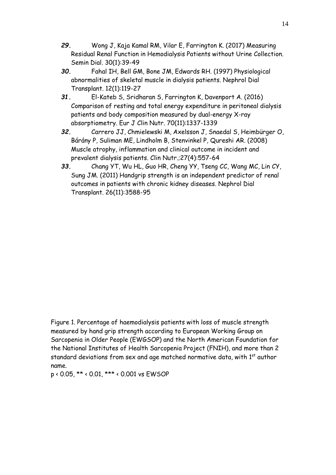- *29.* Wong J, Kaja Kamal RM, Vilar E, Farrington K. (2017) Measuring Residual Renal Function in Hemodialysis Patients without Urine Collection. Semin Dial. 30(1):39-49
- *30.* Fahal IH, Bell GM, Bone JM, Edwards RH. (1997) Physiological abnormalities of skeletal muscle in dialysis patients. Nephrol Dial Transplant. 12(1):119-27
- *31.* El-Kateb S, Sridharan S, Farrington K, Davenport A. (2016) Comparison of resting and total energy expenditure in peritoneal dialysis patients and body composition measured by dual-energy X-ray absorptiometry. Eur J Clin Nutr. 70(11):1337-1339
- *32.* Carrero JJ, Chmielewski M, Axelsson J, Snaedal S, Heimbürger O, Bárány P, Suliman ME, Lindholm B, Stenvinkel P, Qureshi AR. (2008) Muscle atrophy, inflammation and clinical outcome in incident and prevalent dialysis patients. Clin Nutr.;27(4):557-64
- *33.* Chang YT, Wu HL, Guo HR, Cheng YY, Tseng CC, Wang MC, Lin CY, Sung JM. (2011) Handgrip strength is an independent predictor of renal outcomes in patients with chronic kidney diseases. Nephrol Dial Transplant. 26(11):3588-95

Figure 1. Percentage of haemodialysis patients with loss of muscle strength measured by hand grip strength according to European Working Group on Sarcopenia in Older People (EWGSOP) and the North American Foundation for the National Institutes of Health Sarcopenia Project (FNIH), and more than 2 standard deviations from sex and age matched normative data, with 1<sup>st</sup> author name.

p < 0.05, \*\* < 0.01, \*\*\* < 0.001 vs EWSOP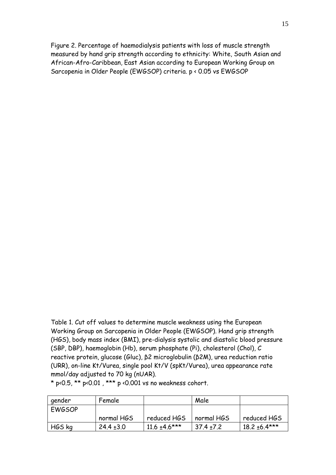Figure 2. Percentage of haemodialysis patients with loss of muscle strength measured by hand grip strength according to ethnicity: White, South Asian and African-Afro-Caribbean, East Asian according to European Working Group on Sarcopenia in Older People (EWGSOP) criteria. p < 0.05 vs EWGSOP

Table 1. Cut off values to determine muscle weakness using the European Working Group on Sarcopenia in Older People (EWGSOP). Hand grip strength (HGS), body mass index (BMI), pre-dialysis systolic and diastolic blood pressure (SBP, DBP), haemoglobin (Hb), serum phosphate (Pi), cholesterol (Chol), C reactive protein, glucose (Gluc), β2 microglobulin (β2M), urea reduction ratio (URR), on-line Kt/Vurea, single pool Kt/V (spKt/Vurea), urea appearance rate mmol/day adjusted to 70 kg (nUAR).

 $*$  p<0.5,  $**$  p<0.01,  $***$  p <0.001 vs no weakness cohort.

| gender        | Female         |                    | Male           |                   |
|---------------|----------------|--------------------|----------------|-------------------|
| <b>EWGSOP</b> |                |                    |                |                   |
|               | normal HGS     | reduced HGS        | normal HGS     | reduced HGS       |
| HGS kg        | $24.4 \pm 3.0$ | $11.6 \pm 4.6$ *** | $37.4 \pm 7.2$ | $18.2 \pm 6.4***$ |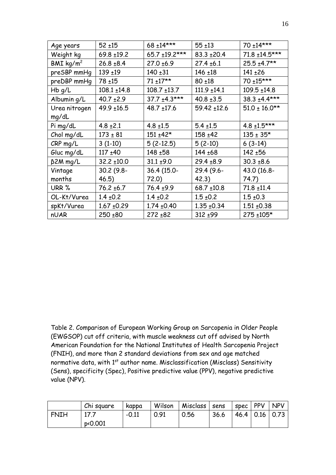| Age years               | $52 + 15$        | 68 ±14***        | $55 + 13$        | 70 ±14***          |
|-------------------------|------------------|------------------|------------------|--------------------|
| Weight kg               | $69.8 \pm 19.2$  | 65.7 ±19.2***    | 83.3 ±20.4       | 71.8 ±14.5***      |
| $BMI$ kg/m <sup>2</sup> | $26.8 + 8.4$     | $27.0 + 6.9$     | $27.4 \pm 6.1$   | $25.5 + 4.7**$     |
| preSBP mmHg             | $139 + 19$       | $140 + 31$       | $146 + 18$       | $141 + 26$         |
| preDBP mmHg             | $78 + 15$        | $71 + 17**$      | $80 + 18$        | 70 ±15***          |
| Hb g/L                  | $108.1 \pm 14.8$ | $108.7 \pm 13.7$ | $111.9 \pm 14.1$ | 109.5 ±14.8        |
| Albumin g/L             | $40.7 \pm 2.9$   | $37.7 + 4.3***$  | $40.8 + 3.5$     | $38.3 + 4.4***$    |
| Urea nitrogen           | 49.9 ±16.5       | $48.7 \pm 17.6$  | 59.42 ±12.6      | $51.0 \pm 16.0$ ** |
| mg/dL                   |                  |                  |                  |                    |
| Pi mg/dL                | $4.8 \pm 2.1$    | $4.8 \pm 1.5$    | $5.4 \pm 1.5$    | $4.8 \pm 1.5***$   |
| Chol mg/dL              | $173 \pm 81$     | $151 + 42*$      | $158 + 42$       | $135 \pm 35*$      |
| $CRP$ mg/L              | $3(1-10)$        | $5(2-12.5)$      | $5(2-10)$        | $6(3-14)$          |
| Gluc mg/dL              | $117 + 40$       | $148 + 58$       | $144 + 68$       | 142 ±56            |
| $\beta$ 2M mg/L         | $32.2 \pm 10.0$  | $31.1 \pm 9.0$   | $29.4 \pm 8.9$   | $30.3 + 8.6$       |
| Vintage                 | $30.2(9.8 -$     | 36.4 (15.0-      | 29.4 (9.6-       | 43.0 (16.8-        |
| months                  | 46.5)            | 72.0)            | 42.3)            | 74.7)              |
| URR %                   | $76.2 \pm 6.7$   | $76.4 + 9.9$     | $68.7 \pm 10.8$  | $71.8 \pm 11.4$    |
| OL-Kt/Vurea             | $1.4 \pm 0.2$    | $1.4 \pm 0.2$    | $1.5 \pm 0.2$    | $1.5 \pm 0.3$      |
| spKt/Vurea              | $1.67 \pm 0.29$  | $1.74 \pm 0.40$  | $1.35 \pm 0.34$  | $1.51 + 0.38$      |
| nUAR                    | $250 + 80$       | $272 + 82$       | $312 + 99$       | 275 ±105*          |
|                         |                  |                  |                  |                    |

Table 2. Comparison of European Working Group on Sarcopenia in Older People (EWGSOP) cut off criteria, with muscle weakness cut off advised by North American Foundation for the National Institutes of Health Sarcopenia Project (FNIH), and more than 2 standard deviations from sex and age matched normative data, with  $1<sup>st</sup>$  author name. Misclassification (Misclass) Sensitivity (Sens), specificity (Spec), Positive predictive value (PPV), negative predictive value (NPV).

|      | Chi square | Kappa   | Wilson | Misclass   sens |      | $ $ spec $ $ PPV $ $ NPV |  |
|------|------------|---------|--------|-----------------|------|--------------------------|--|
| FNIH |            | $-0.11$ | 0.91   | 0.56            | 36.6 | $146.4$   0.16   0.73    |  |
|      | p<0.001    |         |        |                 |      |                          |  |